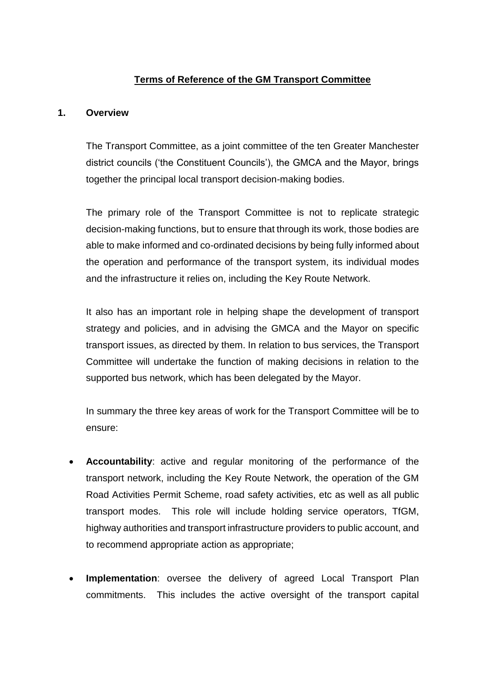# **Terms of Reference of the GM Transport Committee**

## **1. Overview**

The Transport Committee, as a joint committee of the ten Greater Manchester district councils ('the Constituent Councils'), the GMCA and the Mayor, brings together the principal local transport decision-making bodies.

The primary role of the Transport Committee is not to replicate strategic decision-making functions, but to ensure that through its work, those bodies are able to make informed and co-ordinated decisions by being fully informed about the operation and performance of the transport system, its individual modes and the infrastructure it relies on, including the Key Route Network.

It also has an important role in helping shape the development of transport strategy and policies, and in advising the GMCA and the Mayor on specific transport issues, as directed by them. In relation to bus services, the Transport Committee will undertake the function of making decisions in relation to the supported bus network, which has been delegated by the Mayor.

In summary the three key areas of work for the Transport Committee will be to ensure:

- **Accountability**: active and regular monitoring of the performance of the transport network, including the Key Route Network, the operation of the GM Road Activities Permit Scheme, road safety activities, etc as well as all public transport modes. This role will include holding service operators, TfGM, highway authorities and transport infrastructure providers to public account, and to recommend appropriate action as appropriate;
- **Implementation**: oversee the delivery of agreed Local Transport Plan commitments. This includes the active oversight of the transport capital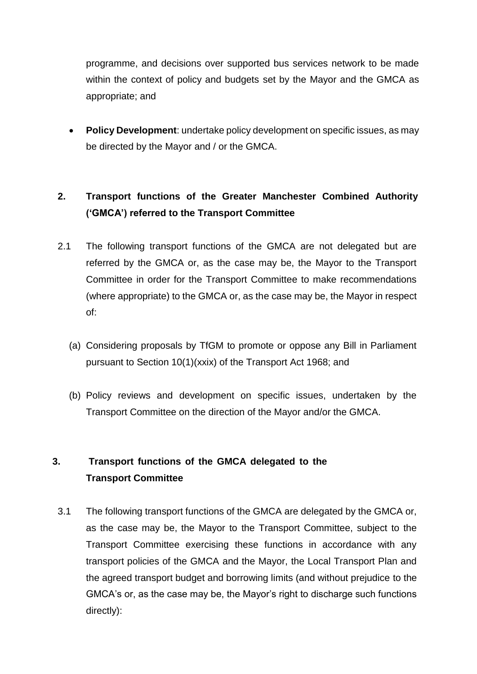programme, and decisions over supported bus services network to be made within the context of policy and budgets set by the Mayor and the GMCA as appropriate; and

 **Policy Development**: undertake policy development on specific issues, as may be directed by the Mayor and / or the GMCA.

# **2. Transport functions of the Greater Manchester Combined Authority ('GMCA') referred to the Transport Committee**

- 2.1 The following transport functions of the GMCA are not delegated but are referred by the GMCA or, as the case may be, the Mayor to the Transport Committee in order for the Transport Committee to make recommendations (where appropriate) to the GMCA or, as the case may be, the Mayor in respect of:
	- (a) Considering proposals by TfGM to promote or oppose any Bill in Parliament pursuant to Section 10(1)(xxix) of the Transport Act 1968; and
	- (b) Policy reviews and development on specific issues, undertaken by the Transport Committee on the direction of the Mayor and/or the GMCA.

# **3. Transport functions of the GMCA delegated to the Transport Committee**

3.1 The following transport functions of the GMCA are delegated by the GMCA or, as the case may be, the Mayor to the Transport Committee, subject to the Transport Committee exercising these functions in accordance with any transport policies of the GMCA and the Mayor, the Local Transport Plan and the agreed transport budget and borrowing limits (and without prejudice to the GMCA's or, as the case may be, the Mayor's right to discharge such functions directly):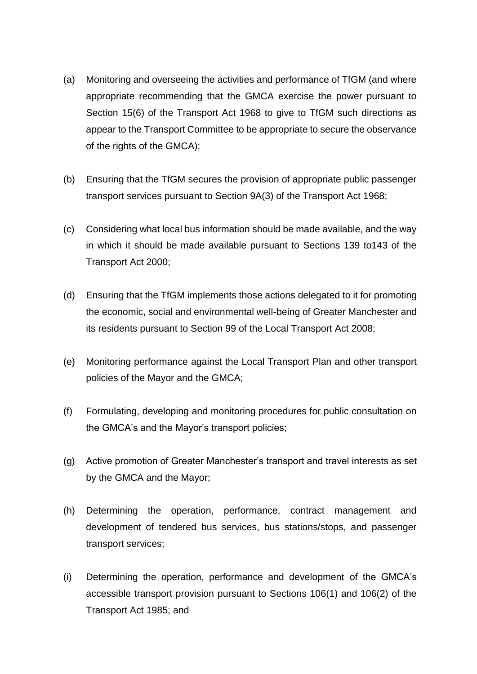- (a) Monitoring and overseeing the activities and performance of TfGM (and where appropriate recommending that the GMCA exercise the power pursuant to Section 15(6) of the Transport Act 1968 to give to TfGM such directions as appear to the Transport Committee to be appropriate to secure the observance of the rights of the GMCA);
- (b) Ensuring that the TfGM secures the provision of appropriate public passenger transport services pursuant to Section 9A(3) of the Transport Act 1968;
- (c) Considering what local bus information should be made available, and the way in which it should be made available pursuant to Sections 139 to143 of the Transport Act 2000;
- (d) Ensuring that the TfGM implements those actions delegated to it for promoting the economic, social and environmental well-being of Greater Manchester and its residents pursuant to Section 99 of the Local Transport Act 2008;
- (e) Monitoring performance against the Local Transport Plan and other transport policies of the Mayor and the GMCA;
- (f) Formulating, developing and monitoring procedures for public consultation on the GMCA's and the Mayor's transport policies;
- (g) Active promotion of Greater Manchester's transport and travel interests as set by the GMCA and the Mayor;
- (h) Determining the operation, performance, contract management and development of tendered bus services, bus stations/stops, and passenger transport services;
- (i) Determining the operation, performance and development of the GMCA's accessible transport provision pursuant to Sections 106(1) and 106(2) of the Transport Act 1985; and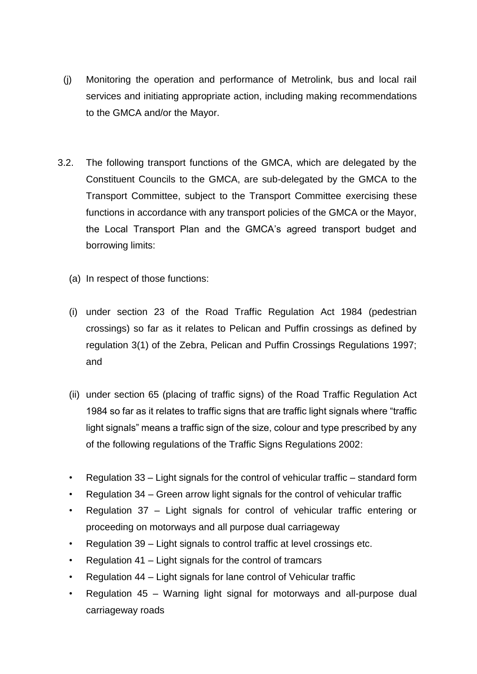- (j) Monitoring the operation and performance of Metrolink, bus and local rail services and initiating appropriate action, including making recommendations to the GMCA and/or the Mayor.
- 3.2. The following transport functions of the GMCA, which are delegated by the Constituent Councils to the GMCA, are sub-delegated by the GMCA to the Transport Committee, subject to the Transport Committee exercising these functions in accordance with any transport policies of the GMCA or the Mayor, the Local Transport Plan and the GMCA's agreed transport budget and borrowing limits:
	- (a) In respect of those functions:
	- (i) under section 23 of the Road Traffic Regulation Act 1984 (pedestrian crossings) so far as it relates to Pelican and Puffin crossings as defined by regulation 3(1) of the Zebra, Pelican and Puffin Crossings Regulations 1997; and
	- (ii) under section 65 (placing of traffic signs) of the Road Traffic Regulation Act 1984 so far as it relates to traffic signs that are traffic light signals where "traffic light signals" means a traffic sign of the size, colour and type prescribed by any of the following regulations of the Traffic Signs Regulations 2002:
	- Regulation 33 Light signals for the control of vehicular traffic standard form
	- Regulation 34 Green arrow light signals for the control of vehicular traffic
	- Regulation 37 Light signals for control of vehicular traffic entering or proceeding on motorways and all purpose dual carriageway
	- Regulation 39 Light signals to control traffic at level crossings etc.
	- Regulation 41 Light signals for the control of tramcars
	- Regulation 44 Light signals for lane control of Vehicular traffic
	- Regulation 45 Warning light signal for motorways and all-purpose dual carriageway roads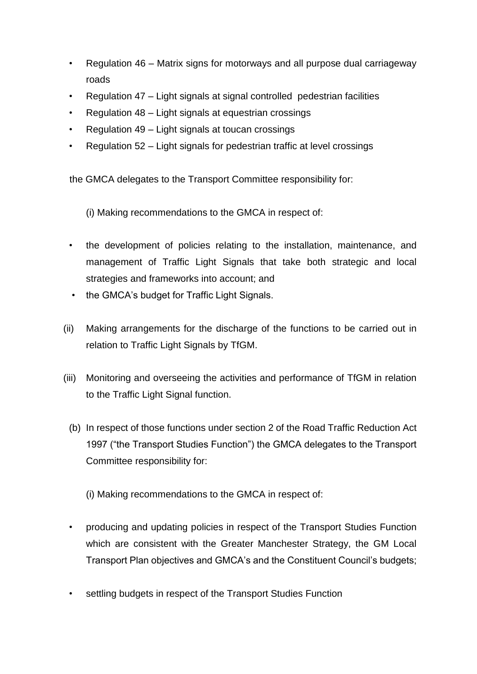- Regulation 46 Matrix signs for motorways and all purpose dual carriageway roads
- Regulation 47 Light signals at signal controlled pedestrian facilities
- Regulation 48 Light signals at equestrian crossings
- Regulation 49 Light signals at toucan crossings
- Regulation 52 Light signals for pedestrian traffic at level crossings

the GMCA delegates to the Transport Committee responsibility for:

(i) Making recommendations to the GMCA in respect of:

- the development of policies relating to the installation, maintenance, and management of Traffic Light Signals that take both strategic and local strategies and frameworks into account; and
- the GMCA's budget for Traffic Light Signals.
- (ii) Making arrangements for the discharge of the functions to be carried out in relation to Traffic Light Signals by TfGM.
- (iii) Monitoring and overseeing the activities and performance of TfGM in relation to the Traffic Light Signal function.
	- (b) In respect of those functions under section 2 of the Road Traffic Reduction Act 1997 ("the Transport Studies Function") the GMCA delegates to the Transport Committee responsibility for:
		- (i) Making recommendations to the GMCA in respect of:
	- producing and updating policies in respect of the Transport Studies Function which are consistent with the Greater Manchester Strategy, the GM Local Transport Plan objectives and GMCA's and the Constituent Council's budgets;
	- settling budgets in respect of the Transport Studies Function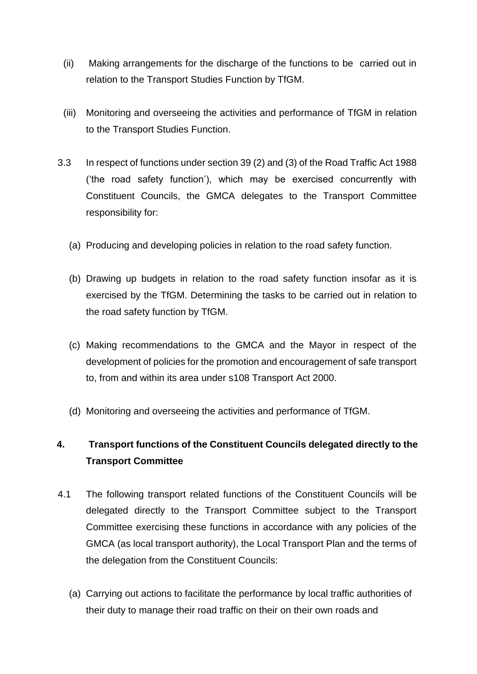- (ii) Making arrangements for the discharge of the functions to be carried out in relation to the Transport Studies Function by TfGM.
- (iii) Monitoring and overseeing the activities and performance of TfGM in relation to the Transport Studies Function.
- 3.3 In respect of functions under section 39 (2) and (3) of the Road Traffic Act 1988 ('the road safety function'), which may be exercised concurrently with Constituent Councils, the GMCA delegates to the Transport Committee responsibility for:
	- (a) Producing and developing policies in relation to the road safety function.
	- (b) Drawing up budgets in relation to the road safety function insofar as it is exercised by the TfGM. Determining the tasks to be carried out in relation to the road safety function by TfGM.
	- (c) Making recommendations to the GMCA and the Mayor in respect of the development of policies for the promotion and encouragement of safe transport to, from and within its area under s108 Transport Act 2000.
	- (d) Monitoring and overseeing the activities and performance of TfGM.

# **4. Transport functions of the Constituent Councils delegated directly to the Transport Committee**

- 4.1 The following transport related functions of the Constituent Councils will be delegated directly to the Transport Committee subject to the Transport Committee exercising these functions in accordance with any policies of the GMCA (as local transport authority), the Local Transport Plan and the terms of the delegation from the Constituent Councils:
	- (a) Carrying out actions to facilitate the performance by local traffic authorities of their duty to manage their road traffic on their on their own roads and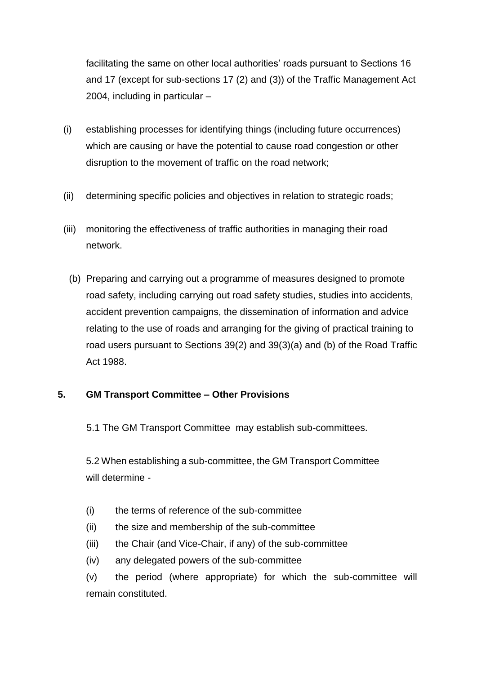facilitating the same on other local authorities' roads pursuant to Sections 16 and 17 (except for sub-sections 17 (2) and (3)) of the Traffic Management Act 2004, including in particular –

- (i) establishing processes for identifying things (including future occurrences) which are causing or have the potential to cause road congestion or other disruption to the movement of traffic on the road network;
- (ii) determining specific policies and objectives in relation to strategic roads;
- (iii) monitoring the effectiveness of traffic authorities in managing their road network.
	- (b) Preparing and carrying out a programme of measures designed to promote road safety, including carrying out road safety studies, studies into accidents, accident prevention campaigns, the dissemination of information and advice relating to the use of roads and arranging for the giving of practical training to road users pursuant to Sections 39(2) and 39(3)(a) and (b) of the Road Traffic Act 1988.

# **5. GM Transport Committee – Other Provisions**

5.1 The GM Transport Committee may establish sub-committees.

5.2 When establishing a sub-committee, the GM Transport Committee will determine -

- (i) the terms of reference of the sub-committee
- (ii) the size and membership of the sub-committee
- (iii) the Chair (and Vice-Chair, if any) of the sub-committee
- (iv) any delegated powers of the sub-committee

(v) the period (where appropriate) for which the sub-committee will remain constituted.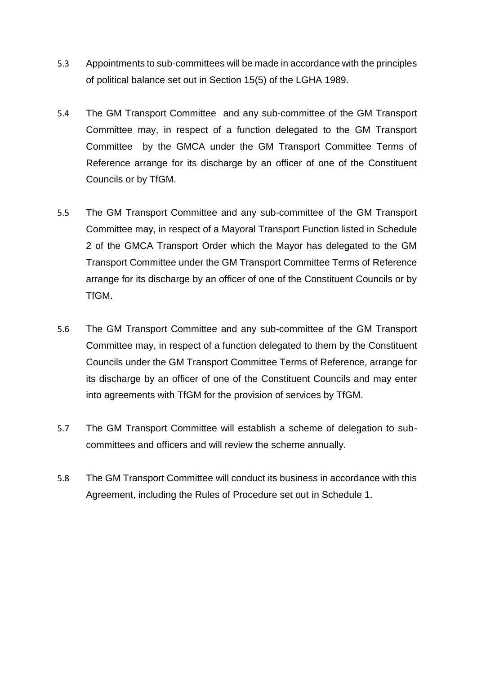- 5.3 Appointments to sub-committees will be made in accordance with the principles of political balance set out in Section 15(5) of the LGHA 1989.
- 5.4 The GM Transport Committee and any sub-committee of the GM Transport Committee may, in respect of a function delegated to the GM Transport Committee by the GMCA under the GM Transport Committee Terms of Reference arrange for its discharge by an officer of one of the Constituent Councils or by TfGM.
- 5.5 The GM Transport Committee and any sub-committee of the GM Transport Committee may, in respect of a Mayoral Transport Function listed in Schedule 2 of the GMCA Transport Order which the Mayor has delegated to the GM Transport Committee under the GM Transport Committee Terms of Reference arrange for its discharge by an officer of one of the Constituent Councils or by TfGM.
- 5.6 The GM Transport Committee and any sub-committee of the GM Transport Committee may, in respect of a function delegated to them by the Constituent Councils under the GM Transport Committee Terms of Reference, arrange for its discharge by an officer of one of the Constituent Councils and may enter into agreements with TfGM for the provision of services by TfGM.
- 5.7 The GM Transport Committee will establish a scheme of delegation to subcommittees and officers and will review the scheme annually.
- 5.8 The GM Transport Committee will conduct its business in accordance with this Agreement, including the Rules of Procedure set out in Schedule 1.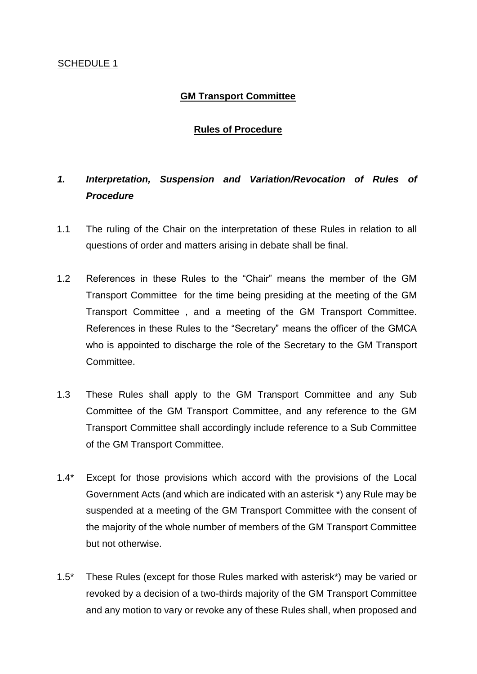#### SCHEDULE 1

# **GM Transport Committee**

# **Rules of Procedure**

# *1. Interpretation, Suspension and Variation/Revocation of Rules of Procedure*

- 1.1 The ruling of the Chair on the interpretation of these Rules in relation to all questions of order and matters arising in debate shall be final.
- 1.2 References in these Rules to the "Chair" means the member of the GM Transport Committee for the time being presiding at the meeting of the GM Transport Committee , and a meeting of the GM Transport Committee. References in these Rules to the "Secretary" means the officer of the GMCA who is appointed to discharge the role of the Secretary to the GM Transport Committee.
- 1.3 These Rules shall apply to the GM Transport Committee and any Sub Committee of the GM Transport Committee, and any reference to the GM Transport Committee shall accordingly include reference to a Sub Committee of the GM Transport Committee.
- 1.4\* Except for those provisions which accord with the provisions of the Local Government Acts (and which are indicated with an asterisk \*) any Rule may be suspended at a meeting of the GM Transport Committee with the consent of the majority of the whole number of members of the GM Transport Committee but not otherwise.
- 1.5\* These Rules (except for those Rules marked with asterisk\*) may be varied or revoked by a decision of a two-thirds majority of the GM Transport Committee and any motion to vary or revoke any of these Rules shall, when proposed and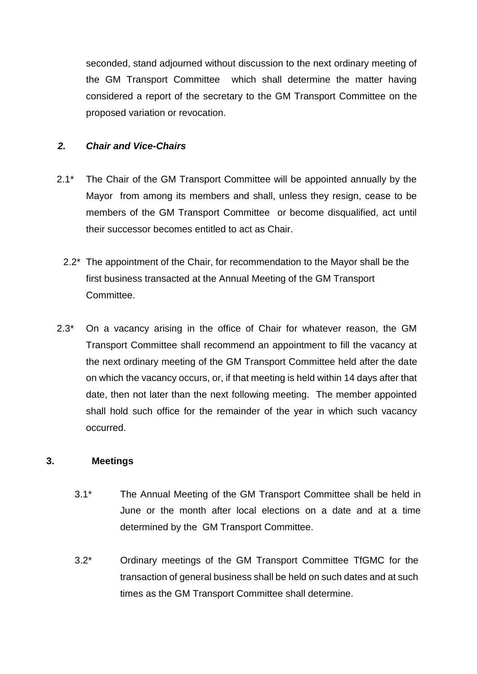seconded, stand adjourned without discussion to the next ordinary meeting of the GM Transport Committee which shall determine the matter having considered a report of the secretary to the GM Transport Committee on the proposed variation or revocation.

## *2. Chair and Vice-Chairs*

- 2.1<sup>\*</sup> The Chair of the GM Transport Committee will be appointed annually by the Mayor from among its members and shall, unless they resign, cease to be members of the GM Transport Committee or become disqualified, act until their successor becomes entitled to act as Chair.
	- 2.2\* The appointment of the Chair, for recommendation to the Mayor shall be the first business transacted at the Annual Meeting of the GM Transport Committee.
- 2.3\* On a vacancy arising in the office of Chair for whatever reason, the GM Transport Committee shall recommend an appointment to fill the vacancy at the next ordinary meeting of the GM Transport Committee held after the date on which the vacancy occurs, or, if that meeting is held within 14 days after that date, then not later than the next following meeting. The member appointed shall hold such office for the remainder of the year in which such vacancy occurred.

#### **3. Meetings**

- 3.1\* The Annual Meeting of the GM Transport Committee shall be held in June or the month after local elections on a date and at a time determined by the GM Transport Committee.
- 3.2\* Ordinary meetings of the GM Transport Committee TfGMC for the transaction of general business shall be held on such dates and at such times as the GM Transport Committee shall determine.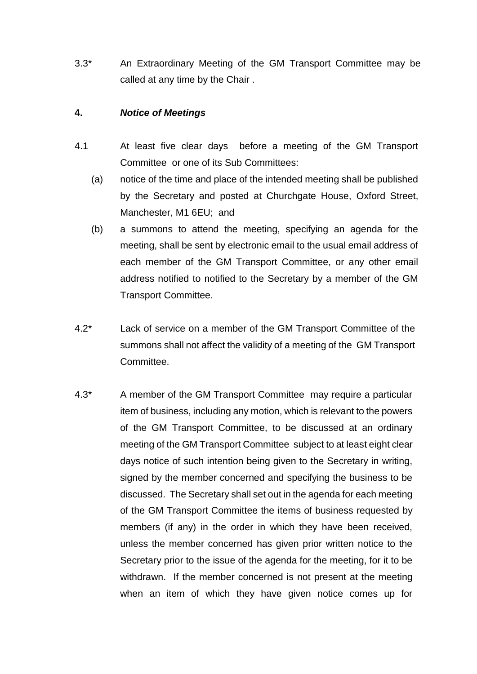3.3\* An Extraordinary Meeting of the GM Transport Committee may be called at any time by the Chair .

## **4.** *Notice of Meetings*

- 4.1 At least five clear days before a meeting of the GM Transport Committee or one of its Sub Committees:
	- (a) notice of the time and place of the intended meeting shall be published by the Secretary and posted at Churchgate House, Oxford Street, Manchester, M1 6EU; and
	- (b) a summons to attend the meeting, specifying an agenda for the meeting, shall be sent by electronic email to the usual email address of each member of the GM Transport Committee, or any other email address notified to notified to the Secretary by a member of the GM Transport Committee.
- 4.2\* Lack of service on a member of the GM Transport Committee of the summons shall not affect the validity of a meeting of the GM Transport Committee.
- 4.3\* A member of the GM Transport Committee may require a particular item of business, including any motion, which is relevant to the powers of the GM Transport Committee, to be discussed at an ordinary meeting of the GM Transport Committee subject to at least eight clear days notice of such intention being given to the Secretary in writing, signed by the member concerned and specifying the business to be discussed. The Secretary shall set out in the agenda for each meeting of the GM Transport Committee the items of business requested by members (if any) in the order in which they have been received, unless the member concerned has given prior written notice to the Secretary prior to the issue of the agenda for the meeting, for it to be withdrawn. If the member concerned is not present at the meeting when an item of which they have given notice comes up for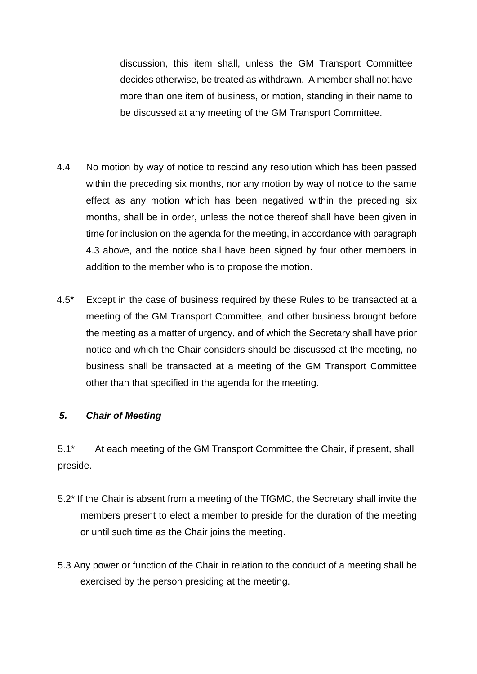discussion, this item shall, unless the GM Transport Committee decides otherwise, be treated as withdrawn. A member shall not have more than one item of business, or motion, standing in their name to be discussed at any meeting of the GM Transport Committee.

- 4.4 No motion by way of notice to rescind any resolution which has been passed within the preceding six months, nor any motion by way of notice to the same effect as any motion which has been negatived within the preceding six months, shall be in order, unless the notice thereof shall have been given in time for inclusion on the agenda for the meeting, in accordance with paragraph 4.3 above, and the notice shall have been signed by four other members in addition to the member who is to propose the motion.
- 4.5\* Except in the case of business required by these Rules to be transacted at a meeting of the GM Transport Committee, and other business brought before the meeting as a matter of urgency, and of which the Secretary shall have prior notice and which the Chair considers should be discussed at the meeting, no business shall be transacted at a meeting of the GM Transport Committee other than that specified in the agenda for the meeting.

# *5. Chair of Meeting*

5.1\* At each meeting of the GM Transport Committee the Chair, if present, shall preside.

- 5.2\* If the Chair is absent from a meeting of the TfGMC, the Secretary shall invite the members present to elect a member to preside for the duration of the meeting or until such time as the Chair joins the meeting.
- 5.3 Any power or function of the Chair in relation to the conduct of a meeting shall be exercised by the person presiding at the meeting.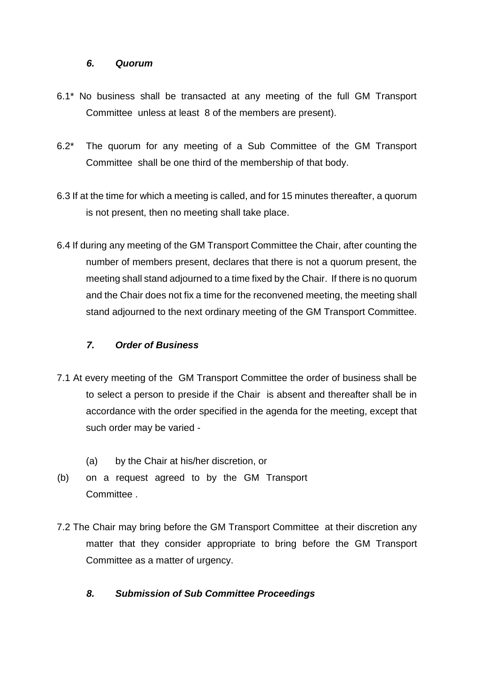#### *6. Quorum*

- 6.1\* No business shall be transacted at any meeting of the full GM Transport Committee unless at least 8 of the members are present).
- 6.2\* The quorum for any meeting of a Sub Committee of the GM Transport Committee shall be one third of the membership of that body.
- 6.3 If at the time for which a meeting is called, and for 15 minutes thereafter, a quorum is not present, then no meeting shall take place.
- 6.4 If during any meeting of the GM Transport Committee the Chair, after counting the number of members present, declares that there is not a quorum present, the meeting shall stand adjourned to a time fixed by the Chair. If there is no quorum and the Chair does not fix a time for the reconvened meeting, the meeting shall stand adjourned to the next ordinary meeting of the GM Transport Committee.

# *7. Order of Business*

- 7.1 At every meeting of the GM Transport Committee the order of business shall be to select a person to preside if the Chair is absent and thereafter shall be in accordance with the order specified in the agenda for the meeting, except that such order may be varied -
	- (a) by the Chair at his/her discretion, or
- (b) on a request agreed to by the GM Transport Committee .
- 7.2 The Chair may bring before the GM Transport Committee at their discretion any matter that they consider appropriate to bring before the GM Transport Committee as a matter of urgency.

# *8. Submission of Sub Committee Proceedings*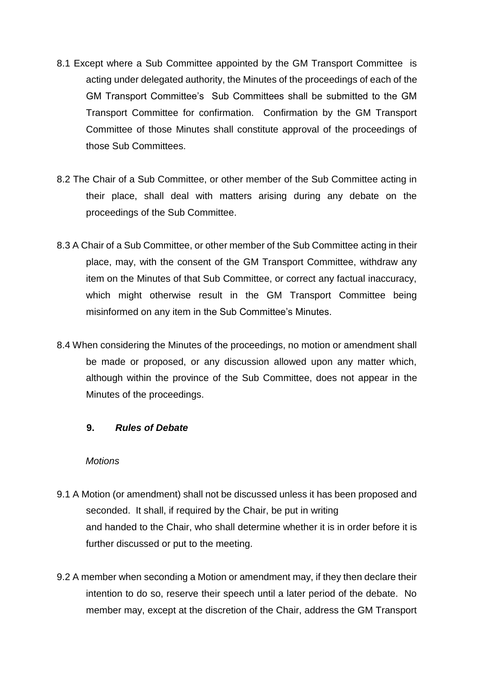- 8.1 Except where a Sub Committee appointed by the GM Transport Committee is acting under delegated authority, the Minutes of the proceedings of each of the GM Transport Committee's Sub Committees shall be submitted to the GM Transport Committee for confirmation. Confirmation by the GM Transport Committee of those Minutes shall constitute approval of the proceedings of those Sub Committees.
- 8.2 The Chair of a Sub Committee, or other member of the Sub Committee acting in their place, shall deal with matters arising during any debate on the proceedings of the Sub Committee.
- 8.3 A Chair of a Sub Committee, or other member of the Sub Committee acting in their place, may, with the consent of the GM Transport Committee, withdraw any item on the Minutes of that Sub Committee, or correct any factual inaccuracy, which might otherwise result in the GM Transport Committee being misinformed on any item in the Sub Committee's Minutes.
- 8.4 When considering the Minutes of the proceedings, no motion or amendment shall be made or proposed, or any discussion allowed upon any matter which, although within the province of the Sub Committee, does not appear in the Minutes of the proceedings.

#### **9.** *Rules of Debate*

#### *Motions*

- 9.1 A Motion (or amendment) shall not be discussed unless it has been proposed and seconded. It shall, if required by the Chair, be put in writing and handed to the Chair, who shall determine whether it is in order before it is further discussed or put to the meeting.
- 9.2 A member when seconding a Motion or amendment may, if they then declare their intention to do so, reserve their speech until a later period of the debate. No member may, except at the discretion of the Chair, address the GM Transport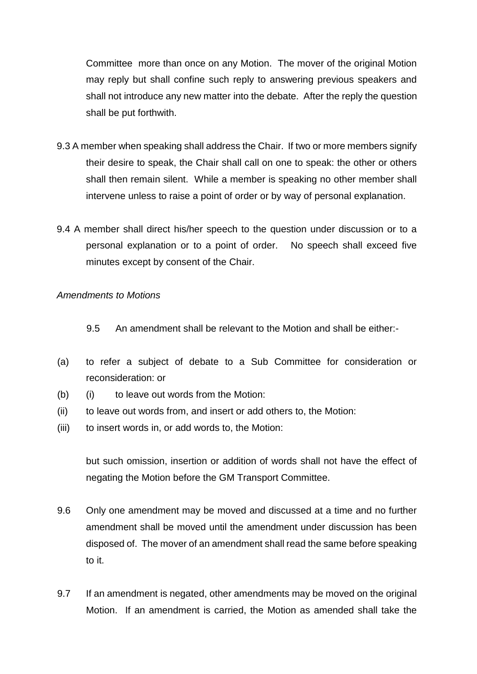Committee more than once on any Motion. The mover of the original Motion may reply but shall confine such reply to answering previous speakers and shall not introduce any new matter into the debate. After the reply the question shall be put forthwith.

- 9.3 A member when speaking shall address the Chair. If two or more members signify their desire to speak, the Chair shall call on one to speak: the other or others shall then remain silent. While a member is speaking no other member shall intervene unless to raise a point of order or by way of personal explanation.
- 9.4 A member shall direct his/her speech to the question under discussion or to a personal explanation or to a point of order. No speech shall exceed five minutes except by consent of the Chair.

#### *Amendments to Motions*

- 9.5 An amendment shall be relevant to the Motion and shall be either:-
- (a) to refer a subject of debate to a Sub Committee for consideration or reconsideration: or
- (b) (i) to leave out words from the Motion:
- (ii) to leave out words from, and insert or add others to, the Motion:
- (iii) to insert words in, or add words to, the Motion:

but such omission, insertion or addition of words shall not have the effect of negating the Motion before the GM Transport Committee.

- 9.6 Only one amendment may be moved and discussed at a time and no further amendment shall be moved until the amendment under discussion has been disposed of. The mover of an amendment shall read the same before speaking to it.
- 9.7 If an amendment is negated, other amendments may be moved on the original Motion. If an amendment is carried, the Motion as amended shall take the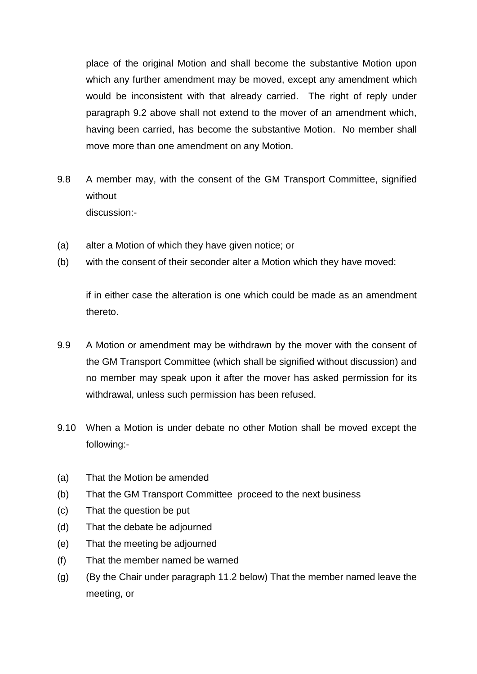place of the original Motion and shall become the substantive Motion upon which any further amendment may be moved, except any amendment which would be inconsistent with that already carried. The right of reply under paragraph 9.2 above shall not extend to the mover of an amendment which, having been carried, has become the substantive Motion. No member shall move more than one amendment on any Motion.

- 9.8 A member may, with the consent of the GM Transport Committee, signified without discussion:-
- (a) alter a Motion of which they have given notice; or
- (b) with the consent of their seconder alter a Motion which they have moved:

if in either case the alteration is one which could be made as an amendment thereto.

- 9.9 A Motion or amendment may be withdrawn by the mover with the consent of the GM Transport Committee (which shall be signified without discussion) and no member may speak upon it after the mover has asked permission for its withdrawal, unless such permission has been refused.
- 9.10 When a Motion is under debate no other Motion shall be moved except the following:-
- (a) That the Motion be amended
- (b) That the GM Transport Committee proceed to the next business
- (c) That the question be put
- (d) That the debate be adjourned
- (e) That the meeting be adjourned
- (f) That the member named be warned
- (g) (By the Chair under paragraph 11.2 below) That the member named leave the meeting, or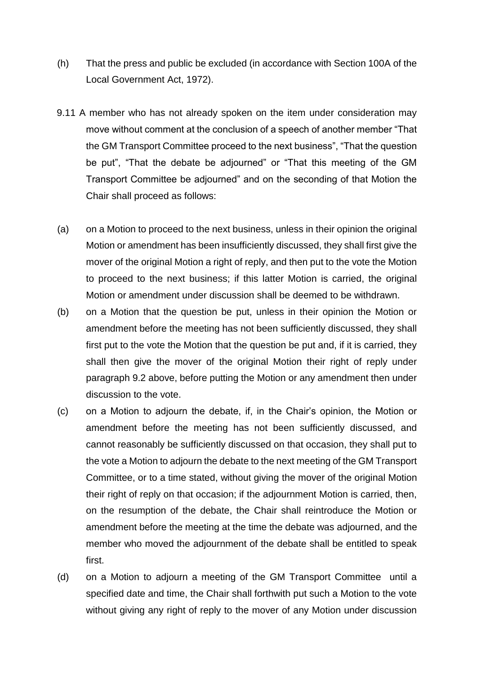- (h) That the press and public be excluded (in accordance with Section 100A of the Local Government Act, 1972).
- 9.11 A member who has not already spoken on the item under consideration may move without comment at the conclusion of a speech of another member "That the GM Transport Committee proceed to the next business", "That the question be put", "That the debate be adjourned" or "That this meeting of the GM Transport Committee be adjourned" and on the seconding of that Motion the Chair shall proceed as follows:
- (a) on a Motion to proceed to the next business, unless in their opinion the original Motion or amendment has been insufficiently discussed, they shall first give the mover of the original Motion a right of reply, and then put to the vote the Motion to proceed to the next business; if this latter Motion is carried, the original Motion or amendment under discussion shall be deemed to be withdrawn.
- (b) on a Motion that the question be put, unless in their opinion the Motion or amendment before the meeting has not been sufficiently discussed, they shall first put to the vote the Motion that the question be put and, if it is carried, they shall then give the mover of the original Motion their right of reply under paragraph 9.2 above, before putting the Motion or any amendment then under discussion to the vote.
- (c) on a Motion to adjourn the debate, if, in the Chair's opinion, the Motion or amendment before the meeting has not been sufficiently discussed, and cannot reasonably be sufficiently discussed on that occasion, they shall put to the vote a Motion to adjourn the debate to the next meeting of the GM Transport Committee, or to a time stated, without giving the mover of the original Motion their right of reply on that occasion; if the adjournment Motion is carried, then, on the resumption of the debate, the Chair shall reintroduce the Motion or amendment before the meeting at the time the debate was adjourned, and the member who moved the adjournment of the debate shall be entitled to speak first.
- (d) on a Motion to adjourn a meeting of the GM Transport Committee until a specified date and time, the Chair shall forthwith put such a Motion to the vote without giving any right of reply to the mover of any Motion under discussion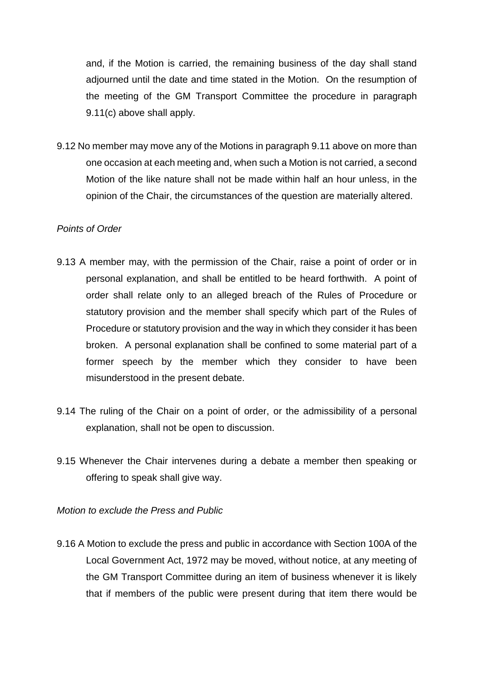and, if the Motion is carried, the remaining business of the day shall stand adjourned until the date and time stated in the Motion. On the resumption of the meeting of the GM Transport Committee the procedure in paragraph 9.11(c) above shall apply.

9.12 No member may move any of the Motions in paragraph 9.11 above on more than one occasion at each meeting and, when such a Motion is not carried, a second Motion of the like nature shall not be made within half an hour unless, in the opinion of the Chair, the circumstances of the question are materially altered.

## *Points of Order*

- 9.13 A member may, with the permission of the Chair, raise a point of order or in personal explanation, and shall be entitled to be heard forthwith. A point of order shall relate only to an alleged breach of the Rules of Procedure or statutory provision and the member shall specify which part of the Rules of Procedure or statutory provision and the way in which they consider it has been broken. A personal explanation shall be confined to some material part of a former speech by the member which they consider to have been misunderstood in the present debate.
- 9.14 The ruling of the Chair on a point of order, or the admissibility of a personal explanation, shall not be open to discussion.
- 9.15 Whenever the Chair intervenes during a debate a member then speaking or offering to speak shall give way.

*Motion to exclude the Press and Public* 

9.16 A Motion to exclude the press and public in accordance with Section 100A of the Local Government Act, 1972 may be moved, without notice, at any meeting of the GM Transport Committee during an item of business whenever it is likely that if members of the public were present during that item there would be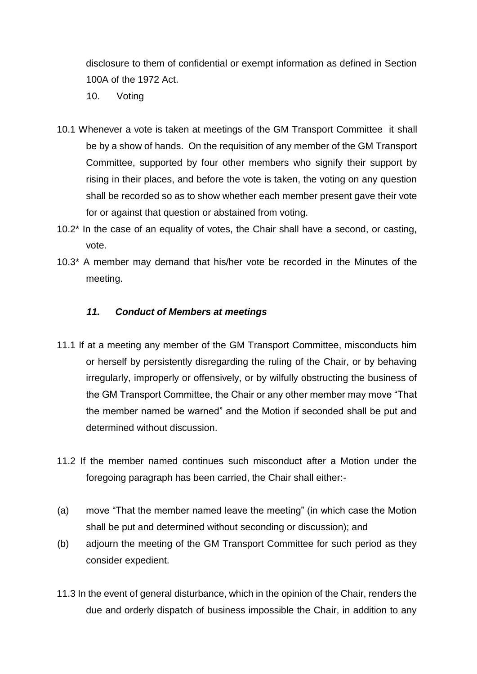disclosure to them of confidential or exempt information as defined in Section 100A of the 1972 Act.

- 10. Voting
- 10.1 Whenever a vote is taken at meetings of the GM Transport Committee it shall be by a show of hands. On the requisition of any member of the GM Transport Committee, supported by four other members who signify their support by rising in their places, and before the vote is taken, the voting on any question shall be recorded so as to show whether each member present gave their vote for or against that question or abstained from voting.
- 10.2\* In the case of an equality of votes, the Chair shall have a second, or casting, vote.
- 10.3\* A member may demand that his/her vote be recorded in the Minutes of the meeting.

## *11. Conduct of Members at meetings*

- 11.1 If at a meeting any member of the GM Transport Committee, misconducts him or herself by persistently disregarding the ruling of the Chair, or by behaving irregularly, improperly or offensively, or by wilfully obstructing the business of the GM Transport Committee, the Chair or any other member may move "That the member named be warned" and the Motion if seconded shall be put and determined without discussion.
- 11.2 If the member named continues such misconduct after a Motion under the foregoing paragraph has been carried, the Chair shall either:-
- (a) move "That the member named leave the meeting" (in which case the Motion shall be put and determined without seconding or discussion); and
- (b) adjourn the meeting of the GM Transport Committee for such period as they consider expedient.
- 11.3 In the event of general disturbance, which in the opinion of the Chair, renders the due and orderly dispatch of business impossible the Chair, in addition to any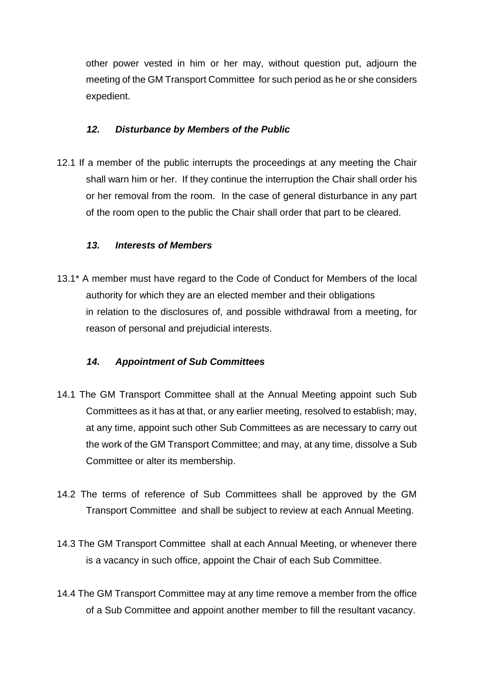other power vested in him or her may, without question put, adjourn the meeting of the GM Transport Committee for such period as he or she considers expedient.

## *12. Disturbance by Members of the Public*

12.1 If a member of the public interrupts the proceedings at any meeting the Chair shall warn him or her. If they continue the interruption the Chair shall order his or her removal from the room. In the case of general disturbance in any part of the room open to the public the Chair shall order that part to be cleared.

## *13. Interests of Members*

13.1\* A member must have regard to the Code of Conduct for Members of the local authority for which they are an elected member and their obligations in relation to the disclosures of, and possible withdrawal from a meeting, for reason of personal and prejudicial interests.

# *14. Appointment of Sub Committees*

- 14.1 The GM Transport Committee shall at the Annual Meeting appoint such Sub Committees as it has at that, or any earlier meeting, resolved to establish; may, at any time, appoint such other Sub Committees as are necessary to carry out the work of the GM Transport Committee; and may, at any time, dissolve a Sub Committee or alter its membership.
- 14.2 The terms of reference of Sub Committees shall be approved by the GM Transport Committee and shall be subject to review at each Annual Meeting.
- 14.3 The GM Transport Committee shall at each Annual Meeting, or whenever there is a vacancy in such office, appoint the Chair of each Sub Committee.
- 14.4 The GM Transport Committee may at any time remove a member from the office of a Sub Committee and appoint another member to fill the resultant vacancy.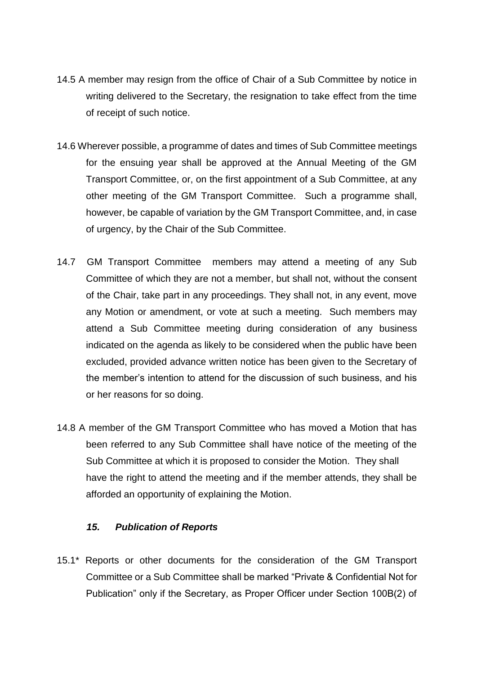- 14.5 A member may resign from the office of Chair of a Sub Committee by notice in writing delivered to the Secretary, the resignation to take effect from the time of receipt of such notice.
- 14.6 Wherever possible, a programme of dates and times of Sub Committee meetings for the ensuing year shall be approved at the Annual Meeting of the GM Transport Committee, or, on the first appointment of a Sub Committee, at any other meeting of the GM Transport Committee. Such a programme shall, however, be capable of variation by the GM Transport Committee, and, in case of urgency, by the Chair of the Sub Committee.
- 14.7 GM Transport Committee members may attend a meeting of any Sub Committee of which they are not a member, but shall not, without the consent of the Chair, take part in any proceedings. They shall not, in any event, move any Motion or amendment, or vote at such a meeting. Such members may attend a Sub Committee meeting during consideration of any business indicated on the agenda as likely to be considered when the public have been excluded, provided advance written notice has been given to the Secretary of the member's intention to attend for the discussion of such business, and his or her reasons for so doing.
- 14.8 A member of the GM Transport Committee who has moved a Motion that has been referred to any Sub Committee shall have notice of the meeting of the Sub Committee at which it is proposed to consider the Motion. They shall have the right to attend the meeting and if the member attends, they shall be afforded an opportunity of explaining the Motion.

#### *15. Publication of Reports*

15.1\* Reports or other documents for the consideration of the GM Transport Committee or a Sub Committee shall be marked "Private & Confidential Not for Publication" only if the Secretary, as Proper Officer under Section 100B(2) of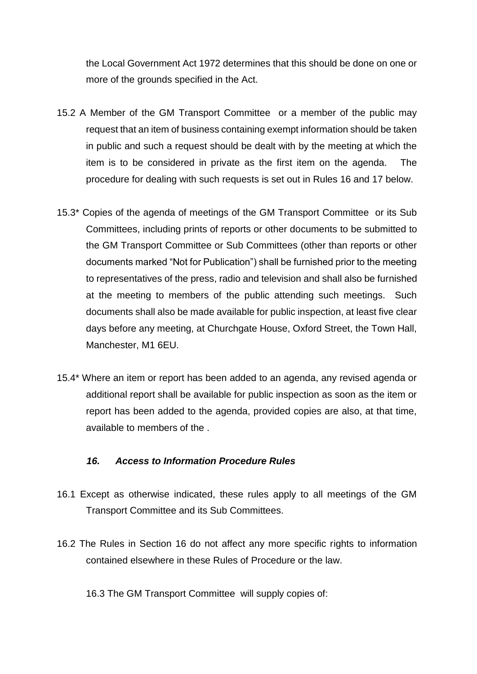the Local Government Act 1972 determines that this should be done on one or more of the grounds specified in the Act.

- 15.2 A Member of the GM Transport Committee or a member of the public may request that an item of business containing exempt information should be taken in public and such a request should be dealt with by the meeting at which the item is to be considered in private as the first item on the agenda. The procedure for dealing with such requests is set out in Rules 16 and 17 below.
- 15.3\* Copies of the agenda of meetings of the GM Transport Committee or its Sub Committees, including prints of reports or other documents to be submitted to the GM Transport Committee or Sub Committees (other than reports or other documents marked "Not for Publication") shall be furnished prior to the meeting to representatives of the press, radio and television and shall also be furnished at the meeting to members of the public attending such meetings. Such documents shall also be made available for public inspection, at least five clear days before any meeting, at Churchgate House, Oxford Street, the Town Hall, Manchester, M1 6EU.
- 15.4\* Where an item or report has been added to an agenda, any revised agenda or additional report shall be available for public inspection as soon as the item or report has been added to the agenda, provided copies are also, at that time, available to members of the .

#### *16. Access to Information Procedure Rules*

- 16.1 Except as otherwise indicated, these rules apply to all meetings of the GM Transport Committee and its Sub Committees.
- 16.2 The Rules in Section 16 do not affect any more specific rights to information contained elsewhere in these Rules of Procedure or the law.

16.3 The GM Transport Committee will supply copies of: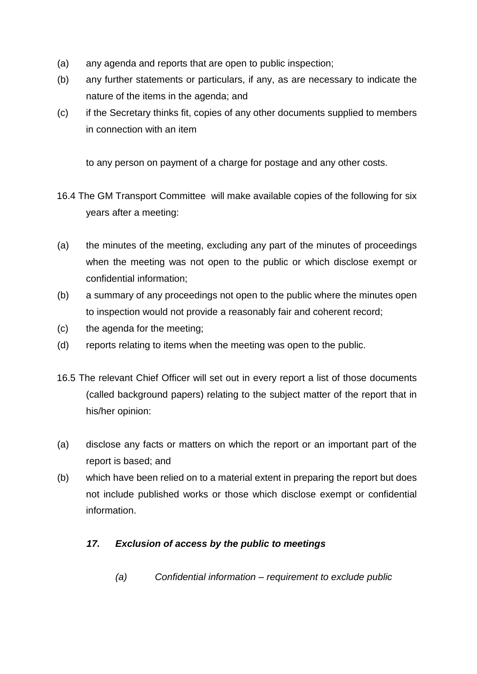- (a) any agenda and reports that are open to public inspection;
- (b) any further statements or particulars, if any, as are necessary to indicate the nature of the items in the agenda; and
- (c) if the Secretary thinks fit, copies of any other documents supplied to members in connection with an item

to any person on payment of a charge for postage and any other costs.

- 16.4 The GM Transport Committee will make available copies of the following for six years after a meeting:
- (a) the minutes of the meeting, excluding any part of the minutes of proceedings when the meeting was not open to the public or which disclose exempt or confidential information;
- (b) a summary of any proceedings not open to the public where the minutes open to inspection would not provide a reasonably fair and coherent record;
- (c) the agenda for the meeting;
- (d) reports relating to items when the meeting was open to the public.
- 16.5 The relevant Chief Officer will set out in every report a list of those documents (called background papers) relating to the subject matter of the report that in his/her opinion:
- (a) disclose any facts or matters on which the report or an important part of the report is based; and
- (b) which have been relied on to a material extent in preparing the report but does not include published works or those which disclose exempt or confidential information.

# *17. Exclusion of access by the public to meetings*

*(a) Confidential information – requirement to exclude public*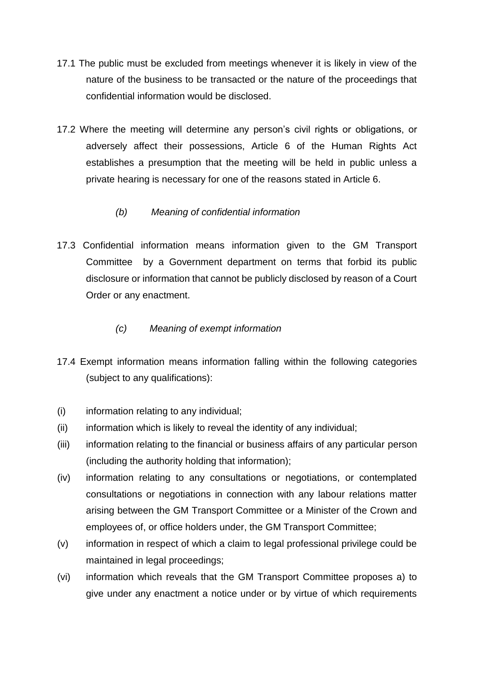- 17.1 The public must be excluded from meetings whenever it is likely in view of the nature of the business to be transacted or the nature of the proceedings that confidential information would be disclosed.
- 17.2 Where the meeting will determine any person's civil rights or obligations, or adversely affect their possessions, Article 6 of the Human Rights Act establishes a presumption that the meeting will be held in public unless a private hearing is necessary for one of the reasons stated in Article 6.

# *(b) Meaning of confidential information*

17.3 Confidential information means information given to the GM Transport Committee by a Government department on terms that forbid its public disclosure or information that cannot be publicly disclosed by reason of a Court Order or any enactment.

# *(c) Meaning of exempt information*

- 17.4 Exempt information means information falling within the following categories (subject to any qualifications):
- (i) information relating to any individual;
- (ii) information which is likely to reveal the identity of any individual;
- (iii) information relating to the financial or business affairs of any particular person (including the authority holding that information);
- (iv) information relating to any consultations or negotiations, or contemplated consultations or negotiations in connection with any labour relations matter arising between the GM Transport Committee or a Minister of the Crown and employees of, or office holders under, the GM Transport Committee;
- (v) information in respect of which a claim to legal professional privilege could be maintained in legal proceedings;
- (vi) information which reveals that the GM Transport Committee proposes a) to give under any enactment a notice under or by virtue of which requirements